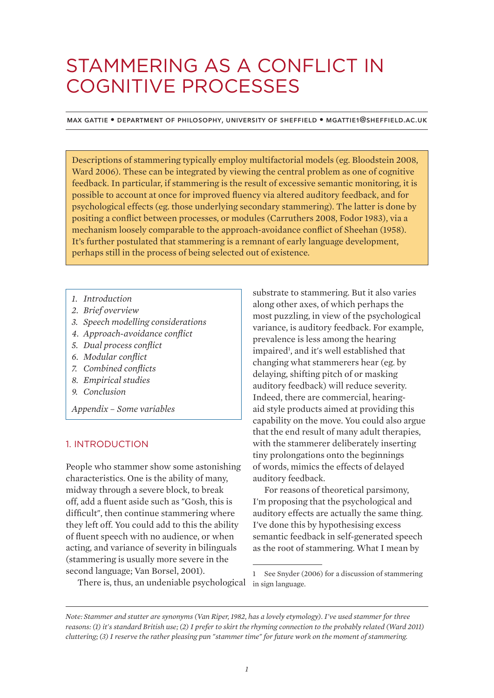# STAMMERING AS A CONFLICT IN COGNITIVE PROCESSES

Max Gattie • department of philosophy, university of sheffield • mgattie1@sheffield.ac.uk

Descriptions of stammering typically employ multifactorial models (eg. Bloodstein 2008, Ward 2006). These can be integrated by viewing the central problem as one of cognitive feedback. In particular, if stammering is the result of excessive semantic monitoring, it is possible to account at once for improved fluency via altered auditory feedback, and for psychological effects (eg. those underlying secondary stammering). The latter is done by positing a conflict between processes, or modules (Carruthers 2008, Fodor 1983), via a mechanism loosely comparable to the approach-avoidance conflict of Sheehan (1958). It's further postulated that stammering is a remnant of early language development, perhaps still in the process of being selected out of existence.

- *1. Introduction*
- *2. Brief overview*
- *3. Speech modelling considerations*
- *4. Approach-avoidance conflict*
- *5. Dual process conflict*
- *6. Modular conflict*
- *7. Combined conflicts*
- *8. Empirical studies*
- *9. Conclusion*

*Appendix – Some variables*

#### 1. INTRODUCTION

People who stammer show some astonishing characteristics. One is the ability of many, midway through a severe block, to break off, add a fluent aside such as "Gosh, this is difficult", then continue stammering where they left off. You could add to this the ability of fluent speech with no audience, or when acting, and variance of severity in bilinguals (stammering is usually more severe in the second language; Van Borsel, 2001).

There is, thus, an undeniable psychological

substrate to stammering. But it also varies along other axes, of which perhaps the most puzzling, in view of the psychological variance, is auditory feedback. For example, prevalence is less among the hearing impaired<sup>1</sup>, and it's well established that changing what stammerers hear (eg. by delaying, shifting pitch of or masking auditory feedback) will reduce severity. Indeed, there are commercial, hearingaid style products aimed at providing this capability on the move. You could also argue that the end result of many adult therapies, with the stammerer deliberately inserting tiny prolongations onto the beginnings of words, mimics the effects of delayed auditory feedback.

For reasons of theoretical parsimony, I'm proposing that the psychological and auditory effects are actually the same thing. I've done this by hypothesising excess semantic feedback in self-generated speech as the root of stammering. What I mean by

*Note: Stammer and stutter are synonyms (Van Riper, 1982, has a lovely etymology). I've used stammer for three reasons: (1) it's standard British use; (2) I prefer to skirt the rhyming connection to the probably related (Ward 2011) cluttering; (3) I reserve the rather pleasing pun "stammer time" for future work on the moment of stammering.*

<sup>1</sup> See Snyder (2006) for a discussion of stammering in sign language.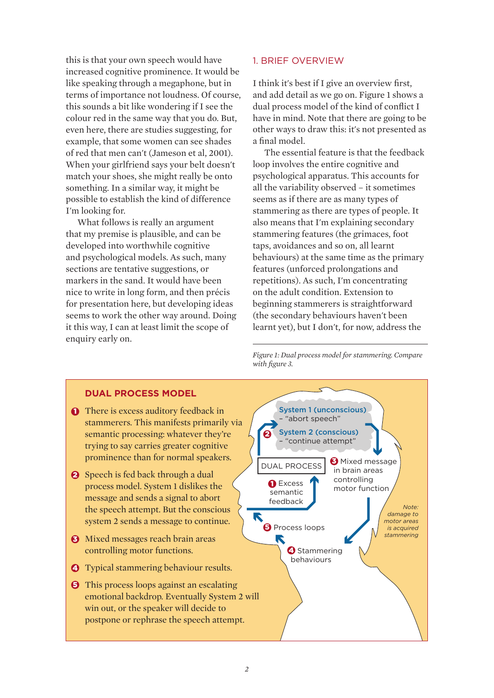this is that your own speech would have increased cognitive prominence. It would be like speaking through a megaphone, but in terms of importance not loudness. Of course, this sounds a bit like wondering if I see the colour red in the same way that you do. But, even here, there are studies suggesting, for example, that some women can see shades of red that men can't (Jameson et al, 2001). When your girlfriend says your belt doesn't match your shoes, she might really be onto something. In a similar way, it might be possible to establish the kind of difference I'm looking for.

What follows is really an argument that my premise is plausible, and can be developed into worthwhile cognitive and psychological models. As such, many sections are tentative suggestions, or markers in the sand. It would have been nice to write in long form, and then précis for presentation here, but developing ideas seems to work the other way around. Doing it this way, I can at least limit the scope of enquiry early on.

# 1. BRIEF OVERVIEW

I think it's best if I give an overview first, and add detail as we go on. Figure 1 shows a dual process model of the kind of conflict I have in mind. Note that there are going to be other ways to draw this: it's not presented as a final model.

The essential feature is that the feedback loop involves the entire cognitive and psychological apparatus. This accounts for all the variability observed – it sometimes seems as if there are as many types of stammering as there are types of people. It also means that I'm explaining secondary stammering features (the grimaces, foot taps, avoidances and so on, all learnt behaviours) at the same time as the primary features (unforced prolongations and repetitions). As such, I'm concentrating on the adult condition. Extension to beginning stammerers is straightforward (the secondary behaviours haven't been learnt yet), but I don't, for now, address the

*Figure 1: Dual process model for stammering. Compare with figure 3.*

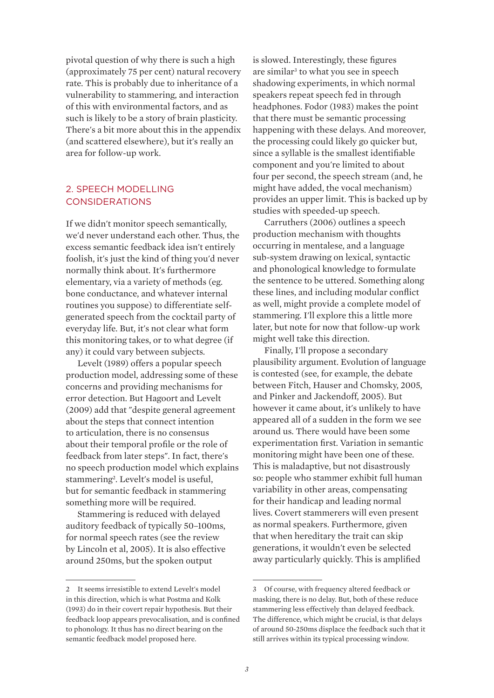pivotal question of why there is such a high (approximately 75 per cent) natural recovery rate. This is probably due to inheritance of a vulnerability to stammering, and interaction of this with environmental factors, and as such is likely to be a story of brain plasticity. There's a bit more about this in the appendix (and scattered elsewhere), but it's really an area for follow-up work.

# 2. SPEECH MODELLING CONSIDERATIONS

If we didn't monitor speech semantically, we'd never understand each other. Thus, the excess semantic feedback idea isn't entirely foolish, it's just the kind of thing you'd never normally think about. It's furthermore elementary, via a variety of methods (eg. bone conductance, and whatever internal routines you suppose) to differentiate selfgenerated speech from the cocktail party of everyday life. But, it's not clear what form this monitoring takes, or to what degree (if any) it could vary between subjects.

Levelt (1989) offers a popular speech production model, addressing some of these concerns and providing mechanisms for error detection. But Hagoort and Levelt (2009) add that "despite general agreement about the steps that connect intention to articulation, there is no consensus about their temporal profile or the role of feedback from later steps". In fact, there's no speech production model which explains stammering2 . Levelt's model is useful, but for semantic feedback in stammering something more will be required.

Stammering is reduced with delayed auditory feedback of typically 50–100ms, for normal speech rates (see the review by Lincoln et al, 2005). It is also effective around 250ms, but the spoken output

is slowed. Interestingly, these figures are similar<sup>3</sup> to what you see in speech shadowing experiments, in which normal speakers repeat speech fed in through headphones. Fodor (1983) makes the point that there must be semantic processing happening with these delays. And moreover, the processing could likely go quicker but, since a syllable is the smallest identifiable component and you're limited to about four per second, the speech stream (and, he might have added, the vocal mechanism) provides an upper limit. This is backed up by studies with speeded-up speech.

Carruthers (2006) outlines a speech production mechanism with thoughts occurring in mentalese, and a language sub-system drawing on lexical, syntactic and phonological knowledge to formulate the sentence to be uttered. Something along these lines, and including modular conflict as well, might provide a complete model of stammering. I'll explore this a little more later, but note for now that follow-up work might well take this direction.

Finally, I'll propose a secondary plausibility argument. Evolution of language is contested (see, for example, the debate between Fitch, Hauser and Chomsky, 2005, and Pinker and Jackendoff, 2005). But however it came about, it's unlikely to have appeared all of a sudden in the form we see around us. There would have been some experimentation first. Variation in semantic monitoring might have been one of these. This is maladaptive, but not disastrously so: people who stammer exhibit full human variability in other areas, compensating for their handicap and leading normal lives. Covert stammerers will even present as normal speakers. Furthermore, given that when hereditary the trait can skip generations, it wouldn't even be selected away particularly quickly. This is amplified

<sup>2</sup> It seems irresistible to extend Levelt's model in this direction, which is what Postma and Kolk (1993) do in their covert repair hypothesis. But their feedback loop appears prevocalisation, and is confined to phonology. It thus has no direct bearing on the semantic feedback model proposed here.

<sup>3</sup> Of course, with frequency altered feedback or masking, there is no delay. But, both of these reduce stammering less effectively than delayed feedback. The difference, which might be crucial, is that delays of around 50-250ms displace the feedback such that it still arrives within its typical processing window.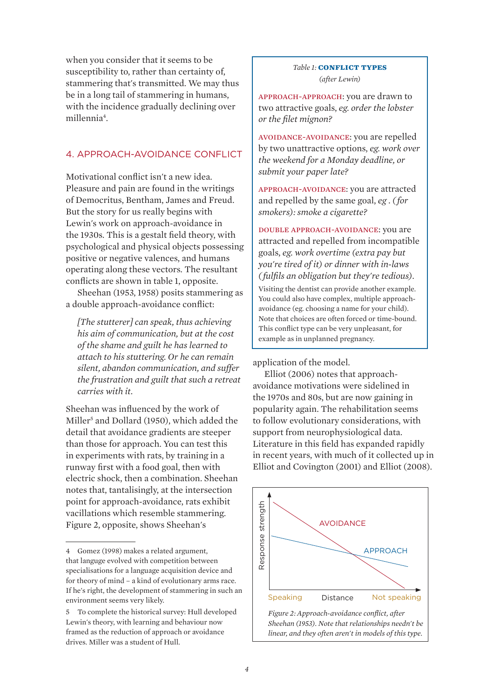when you consider that it seems to be susceptibility to, rather than certainty of, stammering that's transmitted. We may thus be in a long tail of stammering in humans, with the incidence gradually declining over millennia<sup>4</sup>.

# 4. APPROACH-AVOIDANCE CONFLICT

Motivational conflict isn't a new idea. Pleasure and pain are found in the writings of Democritus, Bentham, James and Freud. But the story for us really begins with Lewin's work on approach-avoidance in the 1930s. This is a gestalt field theory, with psychological and physical objects possessing positive or negative valences, and humans operating along these vectors. The resultant conflicts are shown in table 1, opposite.

Sheehan (1953, 1958) posits stammering as a double approach-avoidance conflict:

*[The stutterer] can speak, thus achieving his aim of communication, but at the cost of the shame and guilt he has learned to attach to his stuttering. Or he can remain silent, abandon communication, and suffer the frustration and guilt that such a retreat carries with it.*

Sheehan was influenced by the work of Miller<sup>5</sup> and Dollard (1950), which added the detail that avoidance gradients are steeper than those for approach. You can test this in experiments with rats, by training in a runway first with a food goal, then with electric shock, then a combination. Sheehan notes that, tantalisingly, at the intersection point for approach-avoidance, rats exhibit vacillations which resemble stammering. Figure 2, opposite, shows Sheehan's

#### **Table 1: CONFLICT TYPES** *(after Lewin)*

approach-approach: you are drawn to two attractive goals, *eg. order the lobster or the filet mignon?*

avoidance-avoidance: you are repelled by two unattractive options, *eg. work over the weekend for a Monday deadline, or submit your paper late?*

approach-avoidance: you are attracted and repelled by the same goal, *eg . ( for smokers): smoke a cigarette?*

double approach-avoidance: you are attracted and repelled from incompatible goals, *eg. work overtime (extra pay but you're tired of it) or dinner with in-laws ( fulfils an obligation but they're tedious)*.

Visiting the dentist can provide another example. You could also have complex, multiple approachavoidance (eg. choosing a name for your child). Note that choices are often forced or time-bound. This conflict type can be very unpleasant, for example as in unplanned pregnancy.

#### application of the model.

Elliot (2006) notes that approachavoidance motivations were sidelined in the 1970s and 80s, but are now gaining in popularity again. The rehabilitation seems to follow evolutionary considerations, with support from neurophysiological data. Literature in this field has expanded rapidly in recent years, with much of it collected up in Elliot and Covington (2001) and Elliot (2008).



<sup>4</sup> Gomez (1998) makes a related argument, that languge evolved with competition between specialisations for a language acquisition device and for theory of mind – a kind of evolutionary arms race. If he's right, the development of stammering in such an environment seems very likely.

<sup>5</sup> To complete the historical survey: Hull developed Lewin's theory, with learning and behaviour now framed as the reduction of approach or avoidance drives. Miller was a student of Hull.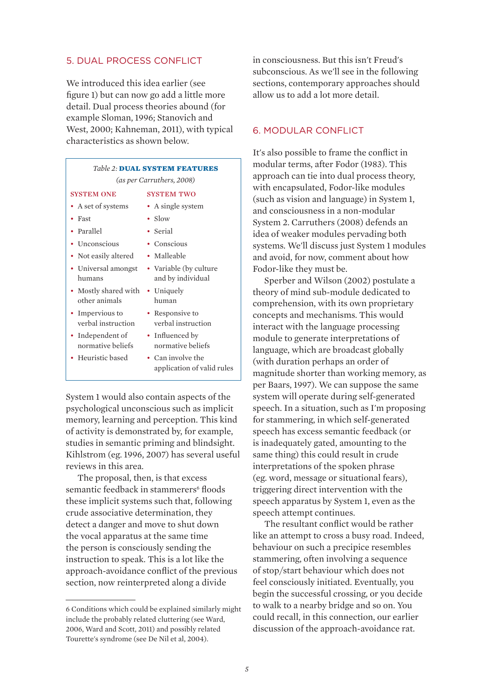#### 5. DUAL PROCESS CONFLICT

We introduced this idea earlier (see figure 1) but can now go add a little more detail. Dual process theories abound (for example Sloman, 1996; Stanovich and West, 2000; Kahneman, 2011), with typical characteristics as shown below.

| <b>Table 2: DUAL SYSTEM FEATURES</b>  |                                                 |
|---------------------------------------|-------------------------------------------------|
| (as per Carruthers, 2008)             |                                                 |
| <b>SYSTEM ONE</b>                     | <b>SYSTEM TWO</b>                               |
| • A set of systems                    | • A single system                               |
| Fast                                  | • Slow                                          |
| Parallel                              | Serial                                          |
| • Unconscious                         | $\bullet$ Conscious                             |
| Not easily altered                    | $\bullet$ Malleable                             |
| • Universal amongst<br>humans         | • Variable (by culture<br>and by individual     |
| • Mostly shared with<br>other animals | • Uniquely<br>human                             |
| • Impervious to<br>verbal instruction | • Responsive to<br>verbal instruction           |
| • Independent of<br>normative beliefs | • Influenced by<br>normative beliefs            |
| Heuristic based                       | • Can involve the<br>application of valid rules |

System 1 would also contain aspects of the psychological unconscious such as implicit memory, learning and perception. This kind of activity is demonstrated by, for example, studies in semantic priming and blindsight. Kihlstrom (eg. 1996, 2007) has several useful reviews in this area.

The proposal, then, is that excess semantic feedback in stammerers<sup>6</sup> floods these implicit systems such that, following crude associative determination, they detect a danger and move to shut down the vocal apparatus at the same time the person is consciously sending the instruction to speak. This is a lot like the approach-avoidance conflict of the previous section, now reinterpreted along a divide

in consciousness. But this isn't Freud's subconscious. As we'll see in the following sections, contemporary approaches should allow us to add a lot more detail.

#### 6. MODULAR CONFLICT

It's also possible to frame the conflict in modular terms, after Fodor (1983). This approach can tie into dual process theory, with encapsulated, Fodor-like modules (such as vision and language) in System 1, and consciousness in a non-modular System 2. Carruthers (2008) defends an idea of weaker modules pervading both systems. We'll discuss just System 1 modules and avoid, for now, comment about how Fodor-like they must be.

Sperber and Wilson (2002) postulate a theory of mind sub-module dedicated to comprehension, with its own proprietary concepts and mechanisms. This would interact with the language processing module to generate interpretations of language, which are broadcast globally (with duration perhaps an order of magnitude shorter than working memory, as per Baars, 1997). We can suppose the same system will operate during self-generated speech. In a situation, such as I'm proposing for stammering, in which self-generated speech has excess semantic feedback (or is inadequately gated, amounting to the same thing) this could result in crude interpretations of the spoken phrase (eg. word, message or situational fears), triggering direct intervention with the speech apparatus by System 1, even as the speech attempt continues.

The resultant conflict would be rather like an attempt to cross a busy road. Indeed, behaviour on such a precipice resembles stammering, often involving a sequence of stop/start behaviour which does not feel consciously initiated. Eventually, you begin the successful crossing, or you decide to walk to a nearby bridge and so on. You could recall, in this connection, our earlier discussion of the approach-avoidance rat.

<sup>6</sup> Conditions which could be explained similarly might include the probably related cluttering (see Ward, 2006, Ward and Scott, 2011) and possibly related Tourette's syndrome (see De Nil et al, 2004).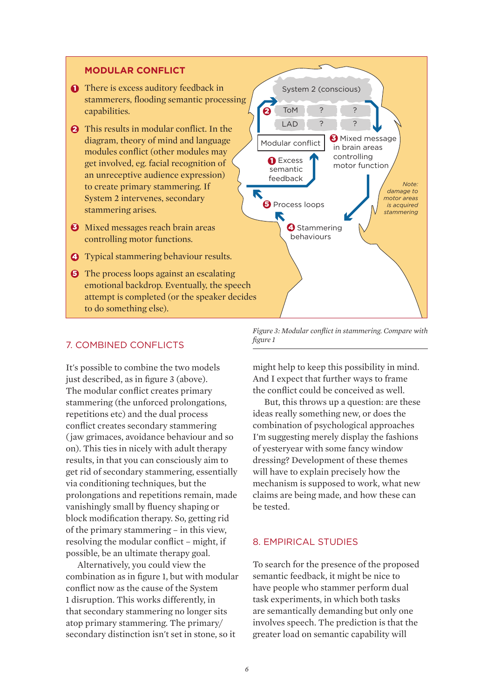# **MODULAR CONFLICT**

- **There is excess auditory feedback in** stammerers, flooding semantic processing capabilities.
- **2** This results in modular conflict. In the diagram, theory of mind and language modules conflict (other modules may get involved, eg. facial recognition of an unreceptive audience expression) to create primary stammering. If System 2 intervenes, secondary stammering arises.
- **3** Mixed messages reach brain areas controlling motor functions.
- 4 Typical stammering behaviour results.
- **5** The process loops against an escalating emotional backdrop. Eventually, the speech attempt is completed (or the speaker decides to do something else).

#### 7. COMBINED CONFLICTS

It's possible to combine the two models just described, as in figure 3 (above). And I expect that furt The modular conflict creates primary stammering (the unforced prolongations, But, this throws up a repetitions etc) and the dual process ideas really s conflict creates secondary stammering ( jaw grimaces, avoidance behaviour and so on). This ties in nicely with adult therapy of yesteryear with som results, in that you can consciously aim to dressing? Developmen get rid of secondary stammering, essentially will have to explain preci via conditioning techniques, but the mechanism prolongations and repetitions remain, made claims are being made vanishingly small by fluency shaping or letested. block modification therapy. So, getting rid  $\frac{1}{2}$  of the primary stammering – in this view, resolving the modular conflict - might, if a confirmed STUD possible, be an ultimate therapy goal. ncely with auun therapy of yestery car with some  $\mu$  and  $\mu$  and  $\mu$  could further speculate that the primary source.  $\mu$ 

Alternatively, you could view the To search for combination as in figure 1, but with modular conflict now as the cause of the System 1 disruption. This works differently, in that secondary stammering no longer sits atop primary stammering. The primary/ involves speech. The secondary distinction isn't set in stone, so it greater load on seman stammering.



*Figure 3: Modular conflict in stammering. Compare with figure 1*

might help to keep this possibility in mind. And I expect that further ways to frame flict creates primary the conflict could be conceived as well.

But, this throws up a question: are these aincrease process and the dual process ideas really something new, or does the combination of psychological approaches voidance behaviour and so I'm suggesting merely display the fashions of yesteryear with some fancy window dressing? Development of these themes will have to explain precisely how the mechanism is supposed to work, what new claims are being made, and how these can be tested.

#### 8. EMPIRICAL STUDIES

To search for the presence of the proposed semantic feedback, it might be nice to have people who stammer perform dual the cause of the System stake people who stammer perform dual s works differently, in task experiments, in which both tasks are semantically demanding but only one involves speech. The prediction is that the greater load on semantic capability will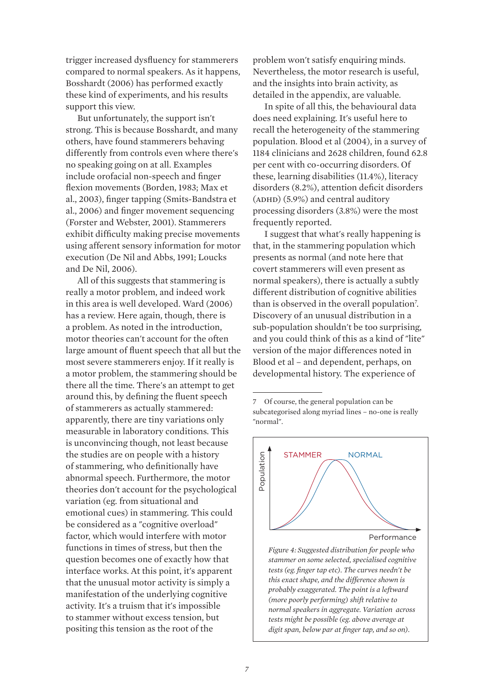trigger increased dysfluency for stammerers compared to normal speakers. As it happens, Bosshardt (2006) has performed exactly these kind of experiments, and his results support this view.

But unfortunately, the support isn't strong. This is because Bosshardt, and many others, have found stammerers behaving differently from controls even where there's no speaking going on at all. Examples include orofacial non-speech and finger flexion movements (Borden, 1983; Max et al., 2003), finger tapping (Smits-Bandstra et al., 2006) and finger movement sequencing (Forster and Webster, 2001). Stammerers exhibit difficulty making precise movements using afferent sensory information for motor execution (De Nil and Abbs, 1991; Loucks and De Nil, 2006).

All of this suggests that stammering is really a motor problem, and indeed work in this area is well developed. Ward (2006) has a review. Here again, though, there is a problem. As noted in the introduction, motor theories can't account for the often large amount of fluent speech that all but the most severe stammerers enjoy. If it really is a motor problem, the stammering should be there all the time. There's an attempt to get around this, by defining the fluent speech of stammerers as actually stammered: apparently, there are tiny variations only measurable in laboratory conditions. This is unconvincing though, not least because the studies are on people with a history of stammering, who definitionally have abnormal speech. Furthermore, the motor theories don't account for the psychological variation (eg. from situational and emotional cues) in stammering. This could be considered as a "cognitive overload" factor, which would interfere with motor functions in times of stress, but then the question becomes one of exactly how that interface works. At this point, it's apparent that the unusual motor activity is simply a manifestation of the underlying cognitive activity. It's a truism that it's impossible to stammer without excess tension, but positing this tension as the root of the

problem won't satisfy enquiring minds. Nevertheless, the motor research is useful, and the insights into brain activity, as detailed in the appendix, are valuable.

In spite of all this, the behavioural data does need explaining. It's useful here to recall the heterogeneity of the stammering population. Blood et al (2004), in a survey of 1184 clinicians and 2628 children, found 62.8 per cent with co-occurring disorders. Of these, learning disabilities (11.4%), literacy disorders (8.2%), attention deficit disorders  $(ADHD)$  (5.9%) and central auditory processing disorders (3.8%) were the most frequently reported.

I suggest that what's really happening is that, in the stammering population which presents as normal (and note here that covert stammerers will even present as normal speakers), there is actually a subtly different distribution of cognitive abilities than is observed in the overall population<sup>7</sup>. Discovery of an unusual distribution in a sub-population shouldn't be too surprising, and you could think of this as a kind of "lite" version of the major differences noted in Blood et al – and dependent, perhaps, on developmental history. The experience of

<sup>7</sup> Of course, the general population can be subcategorised along myriad lines – no-one is really "normal".



*Figure 4: Suggested distribution for people who stammer on some selected, specialised cognitive tests (eg. finger tap etc). The curves needn't be this exact shape, and the difference shown is probably exaggerated. The point is a leftward (more poorly performing) shift relative to normal speakers in aggregate. Variation across tests might be possible (eg. above average at digit span, below par at finger tap, and so on).*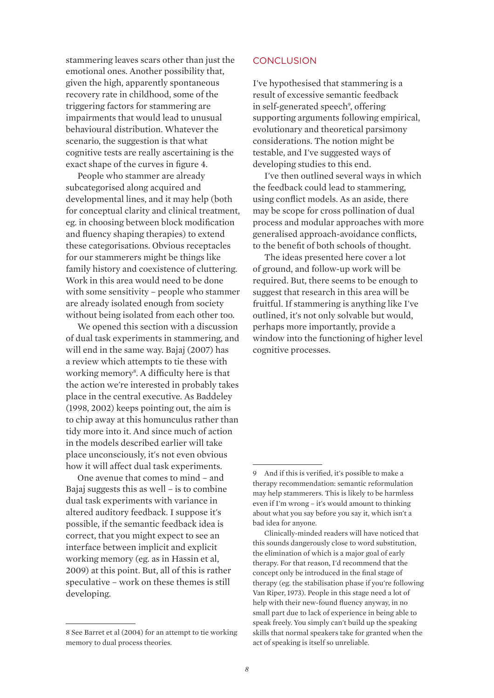stammering leaves scars other than just the emotional ones. Another possibility that, given the high, apparently spontaneous recovery rate in childhood, some of the triggering factors for stammering are impairments that would lead to unusual behavioural distribution. Whatever the scenario, the suggestion is that what cognitive tests are really ascertaining is the exact shape of the curves in figure 4.

People who stammer are already subcategorised along acquired and developmental lines, and it may help (both for conceptual clarity and clinical treatment, eg. in choosing between block modification and fluency shaping therapies) to extend these categorisations. Obvious receptacles for our stammerers might be things like family history and coexistence of cluttering. Work in this area would need to be done with some sensitivity – people who stammer are already isolated enough from society without being isolated from each other too.

We opened this section with a discussion of dual task experiments in stammering, and will end in the same way. Bajaj (2007) has a review which attempts to tie these with working memory<sup>8</sup>. A difficulty here is that the action we're interested in probably takes place in the central executive. As Baddeley (1998, 2002) keeps pointing out, the aim is to chip away at this homunculus rather than tidy more into it. And since much of action in the models described earlier will take place unconsciously, it's not even obvious how it will affect dual task experiments.

One avenue that comes to mind – and Bajaj suggests this as well – is to combine dual task experiments with variance in altered auditory feedback. I suppose it's possible, if the semantic feedback idea is correct, that you might expect to see an interface between implicit and explicit working memory (eg. as in Hassin et al, 2009) at this point. But, all of this is rather speculative – work on these themes is still developing.

### **CONCLUSION**

I've hypothesised that stammering is a result of excessive semantic feedback in self-generated speech<sup>9</sup>, offering supporting arguments following empirical, evolutionary and theoretical parsimony considerations. The notion might be testable, and I've suggested ways of developing studies to this end.

I've then outlined several ways in which the feedback could lead to stammering, using conflict models. As an aside, there may be scope for cross pollination of dual process and modular approaches with more generalised approach-avoidance conflicts, to the benefit of both schools of thought.

The ideas presented here cover a lot of ground, and follow-up work will be required. But, there seems to be enough to suggest that research in this area will be fruitful. If stammering is anything like I've outlined, it's not only solvable but would, perhaps more importantly, provide a window into the functioning of higher level cognitive processes.

<sup>8</sup> See Barret et al (2004) for an attempt to tie working memory to dual process theories.

<sup>9</sup> And if this is verified, it's possible to make a therapy recommendation: semantic reformulation may help stammerers. This is likely to be harmless even if I'm wrong – it's would amount to thinking about what you say before you say it, which isn't a bad idea for anyone.

Clinically-minded readers will have noticed that this sounds dangerously close to word substitution, the elimination of which is a major goal of early therapy. For that reason, I'd recommend that the concept only be introduced in the final stage of therapy (eg. the stabilisation phase if you're following Van Riper, 1973). People in this stage need a lot of help with their new-found fluency anyway, in no small part due to lack of experience in being able to speak freely. You simply can't build up the speaking skills that normal speakers take for granted when the act of speaking is itself so unreliable.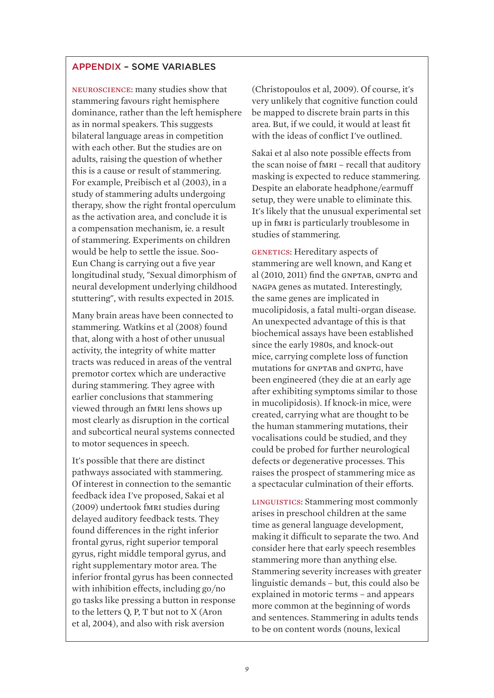# APPENDIX – SOME VARIABLES

neuroscience: many studies show that stammering favours right hemisphere dominance, rather than the left hemisphere as in normal speakers. This suggests bilateral language areas in competition with each other. But the studies are on adults, raising the question of whether this is a cause or result of stammering. For example, Preibisch et al (2003), in a study of stammering adults undergoing therapy, show the right frontal operculum as the activation area, and conclude it is a compensation mechanism, ie. a result of stammering. Experiments on children would be help to settle the issue. Soo-Eun Chang is carrying out a five year longitudinal study, "Sexual dimorphism of neural development underlying childhood stuttering", with results expected in 2015.

Many brain areas have been connected to stammering. Watkins et al (2008) found that, along with a host of other unusual activity, the integrity of white matter tracts was reduced in areas of the ventral premotor cortex which are underactive during stammering. They agree with earlier conclusions that stammering viewed through an fmri lens shows up most clearly as disruption in the cortical and subcortical neural systems connected to motor sequences in speech.

It's possible that there are distinct pathways associated with stammering. Of interest in connection to the semantic feedback idea I've proposed, Sakai et al (2009) undertook fmri studies during delayed auditory feedback tests. They found differences in the right inferior frontal gyrus, right superior temporal gyrus, right middle temporal gyrus, and right supplementary motor area. The inferior frontal gyrus has been connected with inhibition effects, including go/no go tasks like pressing a button in response to the letters Q, P, T but not to X (Aron et al, 2004), and also with risk aversion

(Christopoulos et al, 2009). Of course, it's very unlikely that cognitive function could be mapped to discrete brain parts in this area. But, if we could, it would at least fit with the ideas of conflict I've outlined.

Sakai et al also note possible effects from the scan noise of fmri – recall that auditory masking is expected to reduce stammering. Despite an elaborate headphone/earmuff setup, they were unable to eliminate this. It's likely that the unusual experimental set up in fmri is particularly troublesome in studies of stammering.

genetics: Hereditary aspects of stammering are well known, and Kang et al  $(2010, 2011)$  find the GNPTAB, GNPTG and nagpa genes as mutated. Interestingly, the same genes are implicated in mucolipidosis, a fatal multi-organ disease. An unexpected advantage of this is that biochemical assays have been established since the early 1980s, and knock-out mice, carrying complete loss of function mutations for GNPTAB and GNPTG, have been engineered (they die at an early age after exhibiting symptoms similar to those in mucolipidosis). If knock-in mice, were created, carrying what are thought to be the human stammering mutations, their vocalisations could be studied, and they could be probed for further neurological defects or degenerative processes. This raises the prospect of stammering mice as a spectacular culmination of their efforts.

linguistics: Stammering most commonly arises in preschool children at the same time as general language development, making it difficult to separate the two. And consider here that early speech resembles stammering more than anything else. Stammering severity increases with greater linguistic demands – but, this could also be explained in motoric terms – and appears more common at the beginning of words and sentences. Stammering in adults tends to be on content words (nouns, lexical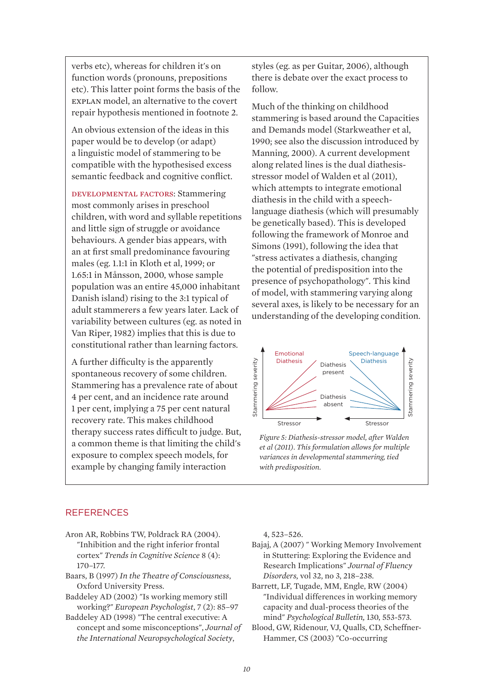verbs etc), whereas for children it's on function words (pronouns, prepositions etc). This latter point forms the basis of the explan model, an alternative to the covert repair hypothesis mentioned in footnote 2.

An obvious extension of the ideas in this paper would be to develop (or adapt) a linguistic model of stammering to be compatible with the hypothesised excess semantic feedback and cognitive conflict.

developmental factors: Stammering most commonly arises in preschool children, with word and syllable repetitions and little sign of struggle or avoidance behaviours. A gender bias appears, with an at first small predominance favouring males (eg. 1.1:1 in Kloth et al, 1999; or 1.65:1 in Månsson, 2000, whose sample population was an entire 45,000 inhabitant Danish island) rising to the 3:1 typical of adult stammerers a few years later. Lack of variability between cultures (eg. as noted in Van Riper, 1982) implies that this is due to constitutional rather than learning factors.

A further difficulty is the apparently spontaneous recovery of some children. Stammering has a prevalence rate of about 4 per cent, and an incidence rate around 1 per cent, implying a 75 per cent natural recovery rate. This makes childhood therapy success rates difficult to judge. But, a common theme is that limiting the child's exposure to complex speech models, for example by changing family interaction

styles (eg. as per Guitar, 2006), although there is debate over the exact process to follow.

Much of the thinking on childhood stammering is based around the Capacities and Demands model (Starkweather et al, 1990; see also the discussion introduced by Manning, 2000). A current development along related lines is the dual diathesisstressor model of Walden et al (2011), which attempts to integrate emotional diathesis in the child with a speechlanguage diathesis (which will presumably be genetically based). This is developed following the framework of Monroe and Simons (1991), following the idea that "stress activates a diathesis, changing the potential of predisposition into the presence of psychopathology". This kind of model, with stammering varying along several axes, is likely to be necessary for an understanding of the developing condition.



*Figure 5: Diathesis-stressor model, after Walden et al (2011). This formulation allows for multiple variances in developmental stammering, tied with predisposition.*

#### **REFERENCES**

- Aron AR, Robbins TW, Poldrack RA (2004). "Inhibition and the right inferior frontal cortex" *Trends in Cognitive Science* 8 (4): 170–177.
- Baars, B (1997) *In the Theatre of Consciousness*, Oxford University Press.
- Baddeley AD (2002) "Is working memory still working?" *European Psychologist*, 7 (2): 85–97
- Baddeley AD (1998) "The central executive: A concept and some misconceptions", *Journal of the International Neuropsychological Society*,

4, 523–526.

- Bajaj, A (2007) " Working Memory Involvement in Stuttering: Exploring the Evidence and Research Implications" *Journal of Fluency Disorders,* vol 32, no 3, 218–238.
- Barrett, LF, Tugade, MM, Engle, RW (2004) "Individual differences in working memory capacity and dual-process theories of the mind" *Psychological Bulletin,* 130, 553-573.
- Blood, GW, Ridenour, VJ, Qualls, CD, Scheffner-Hammer, CS (2003) "Co-occurring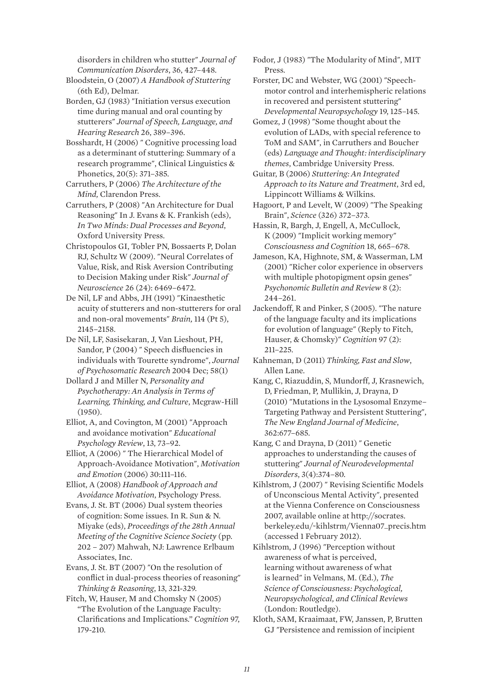disorders in children who stutter" *Journal of Communication Disorders*, 36, 427–448.

Bloodstein, O (2007) *A Handbook of Stuttering*  (6th Ed), Delmar.

Borden, GJ (1983) "Initiation versus execution time during manual and oral counting by stutterers" *Journal of Speech, Language, and Hearing Research* 26, 389–396.

Bosshardt, H (2006) " Cognitive processing load as a determinant of stuttering: Summary of a research programme", Clinical Linguistics & Phonetics, 20(5): 371–385.

Carruthers, P (2006) *The Architecture of the Mind,* Clarendon Press.

Carruthers, P (2008) "An Architecture for Dual Reasoning" In J. Evans & K. Frankish (eds), *In Two Minds: Dual Processes and Beyond*, Oxford University Press.

Christopoulos GI, Tobler PN, Bossaerts P, Dolan RJ, Schultz W (2009). "Neural Correlates of Value, Risk, and Risk Aversion Contributing to Decision Making under Risk" *Journal of Neuroscience* 26 (24): 6469–6472.

De Nil, LF and Abbs, JH (1991) "Kinaesthetic acuity of stutterers and non-stutterers for oral and non-oral movements" *Brain,* 114 (Pt 5), 2145–2158.

De Nil, LF, Sasisekaran, J, Van Lieshout, PH, Sandor, P (2004) " Speech disfluencies in individuals with Tourette syndrome", *Journal of Psychosomatic Research* 2004 Dec; 58(1)

Dollard J and Miller N, *Personality and Psychotherapy: An Analysis in Terms of Learning, Thinking, and Culture*, Mcgraw-Hill (1950).

Elliot, A, and Covington, M (2001) "Approach and avoidance motivation" *Educational Psychology Review*, 13, 73–92.

Elliot, A (2006) " The Hierarchical Model of Approach-Avoidance Motivation", *Motivation and Emotion* (2006) 30:111–116.

Elliot, A (2008) *Handbook of Approach and Avoidance Motivation*, Psychology Press.

Evans, J. St. BT (2006) Dual system theories of cognition: Some issues. In R. Sun & N. Miyake (eds), *Proceedings of the 28th Annual Meeting of the Cognitive Science Society* (pp. 202 – 207) Mahwah, NJ: Lawrence Erlbaum Associates, Inc.

Evans, J. St. BT (2007) "On the resolution of conflict in dual-process theories of reasoning" *Thinking & Reasoning*, 13, 321-329.

Fitch, W, Hauser, M and Chomsky N (2005) "The Evolution of the Language Faculty: Clarifications and Implications." *Cognition* 97, 179-210.

Fodor, J (1983) "The Modularity of Mind", MIT Press.

Forster, DC and Webster, WG (2001) "Speechmotor control and interhemispheric relations in recovered and persistent stuttering" *Developmental Neuropsychology* 19, 125–145.

Gomez, J (1998) "Some thought about the evolution of LADs, with special reference to ToM and SAM", in Carruthers and Boucher (eds) *Language and Thought: interdisciplinary themes*, Cambridge University Press.

Guitar, B (2006) *Stuttering: An Integrated Approach to its Nature and Treatment*, 3rd ed, Lippincott Williams & Wilkins.

Hagoort, P and Levelt, W (2009) "The Speaking Brain", *Science* (326) 372–373.

Hassin, R, Bargh, J, Engell, A, McCullock, K (2009) "Implicit working memory" *Consciousness and Cognition* 18, 665–678.

Jameson, KA, Highnote, SM, & Wasserman, LM (2001) "Richer color experience in observers with multiple photopigment opsin genes" *Psychonomic Bulletin and Review* 8 (2): 244–261.

Jackendoff, R and Pinker, S (2005). "The nature of the language faculty and its implications for evolution of language" (Reply to Fitch, Hauser, & Chomsky)" *Cognition* 97 (2): 211–225.

Kahneman, D (2011) *Thinking, Fast and Slow*, Allen Lane.

Kang, C, Riazuddin, S, Mundorff, J, Krasnewich, D, Friedman, P, Mullikin, J, Drayna, D (2010) "Mutations in the Lysosomal Enzyme– Targeting Pathway and Persistent Stuttering", *The New England Journal of Medicine*, 362:677–685.

Kang, C and Drayna, D (2011) " Genetic approaches to understanding the causes of stuttering" *Journal of Neurodevelopmental Disorders*, 3(4):374–80.

Kihlstrom, J (2007) " Revising Scientific Models of Unconscious Mental Activity", presented at the Vienna Conference on Consciousness 2007, available online at http://socrates. berkeley.edu/~kihlstrm/Vienna07\_precis.htm (accessed 1 February 2012).

Kihlstrom, J (1996) "Perception without awareness of what is perceived, learning without awareness of what is learned" in Velmans, M. (Ed.), *The Science of Consciousness: Psychological, Neuropsychological, and Clinical Reviews*  (London: Routledge).

Kloth, SAM, Kraaimaat, FW, Janssen, P, Brutten GJ "Persistence and remission of incipient